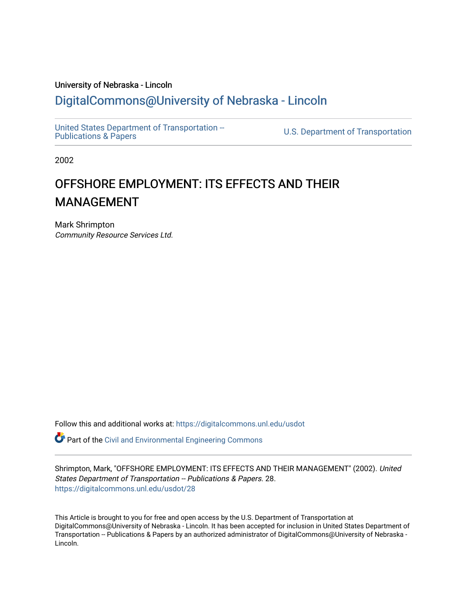#### University of Nebraska - Lincoln [DigitalCommons@University of Nebraska - Lincoln](https://digitalcommons.unl.edu/)

[United States Department of Transportation --](https://digitalcommons.unl.edu/usdot)<br>Publications & Papers

U.S. Department of Transportation

2002

#### OFFSHORE EMPLOYMENT: ITS EFFECTS AND THEIR MANAGEMENT

Mark Shrimpton Community Resource Services Ltd.

Follow this and additional works at: [https://digitalcommons.unl.edu/usdot](https://digitalcommons.unl.edu/usdot?utm_source=digitalcommons.unl.edu%2Fusdot%2F28&utm_medium=PDF&utm_campaign=PDFCoverPages) 

Part of the [Civil and Environmental Engineering Commons](http://network.bepress.com/hgg/discipline/251?utm_source=digitalcommons.unl.edu%2Fusdot%2F28&utm_medium=PDF&utm_campaign=PDFCoverPages)

Shrimpton, Mark, "OFFSHORE EMPLOYMENT: ITS EFFECTS AND THEIR MANAGEMENT" (2002). United States Department of Transportation -- Publications & Papers. 28. [https://digitalcommons.unl.edu/usdot/28](https://digitalcommons.unl.edu/usdot/28?utm_source=digitalcommons.unl.edu%2Fusdot%2F28&utm_medium=PDF&utm_campaign=PDFCoverPages)

This Article is brought to you for free and open access by the U.S. Department of Transportation at DigitalCommons@University of Nebraska - Lincoln. It has been accepted for inclusion in United States Department of Transportation -- Publications & Papers by an authorized administrator of DigitalCommons@University of Nebraska - Lincoln.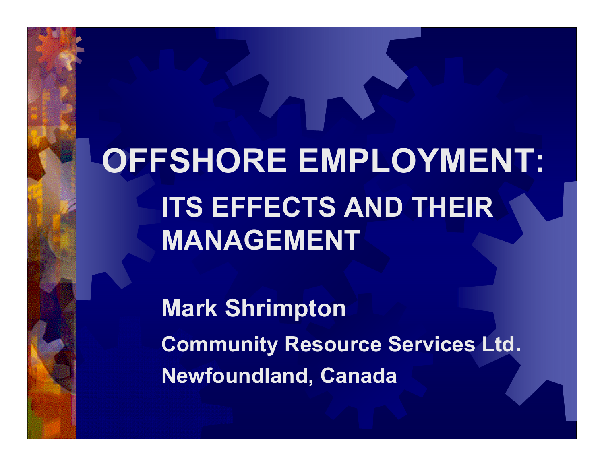**OFFSHORE EMPLOYMENT: ITS EFFECTS AND THEIR MANAGEMENT**

> **Mark Shrimpton Community Resource Services Ltd. Newfoundland, Canada**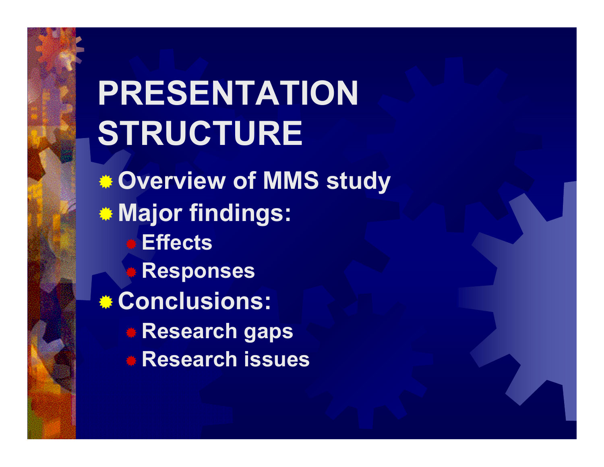## **PRESENTATION STRUCTURE Overview of MMS study Major findings: Effects Responses Conclusions: Research gaps Research issues**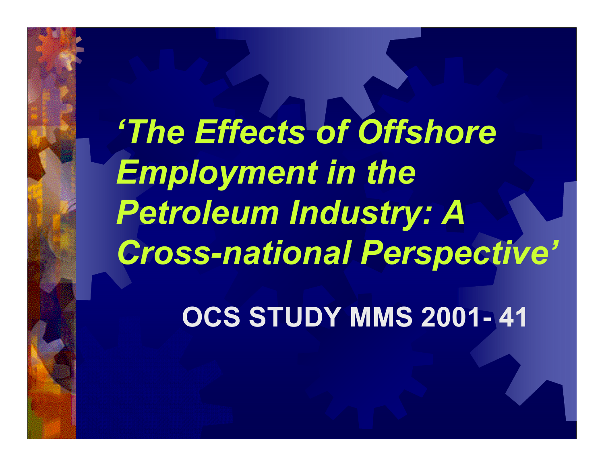*'The Effects of Offshore Employment in the Petroleum Industry: A Cross-national Perspective'*

**OCS STUDY MMS 2001- 41**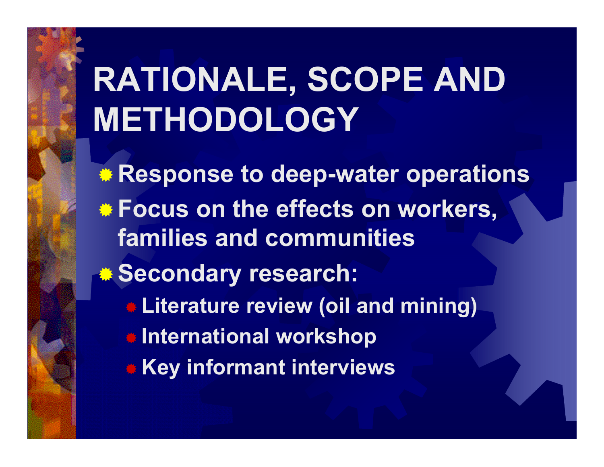## **RATIONALE, SCOPE AND METHODOLOGY**

**Response to deep-water operations Focus on the effects on workers, families and communities Secondary research: Literature review (oil and mining) International workshop Key informant interviews**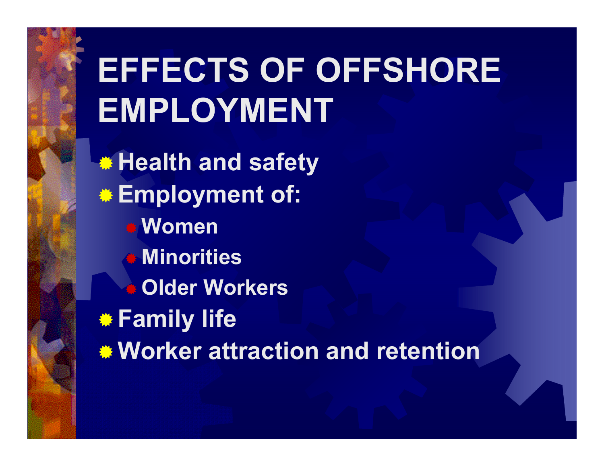# **EFFECTS OF OFFSHORE EMPLOYMENT**

**Health and safety Employment of: Women Minorities** ₩ **Older Workers Family life Worker attraction and retention**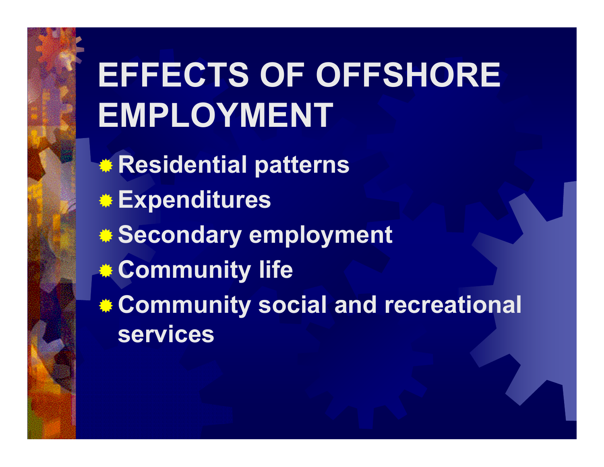## **EFFECTS OF OFFSHORE EMPLOYMENT**

**Residential patterns Expenditures Secondary employment Community life Community social and recreational services**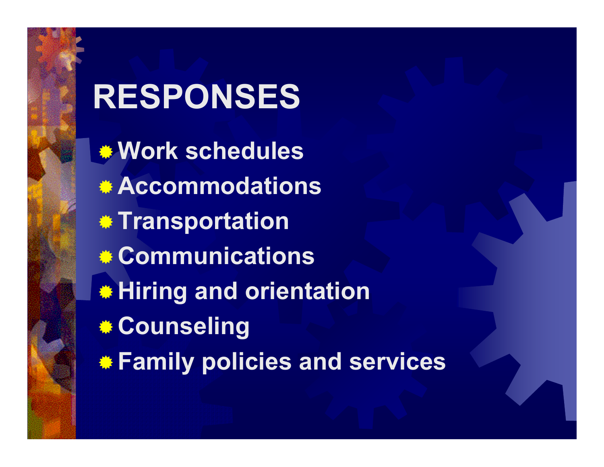## **RESPONSES Work schedules Accommodations Transportation Communications Hiring and orientation Counseling Family policies and services**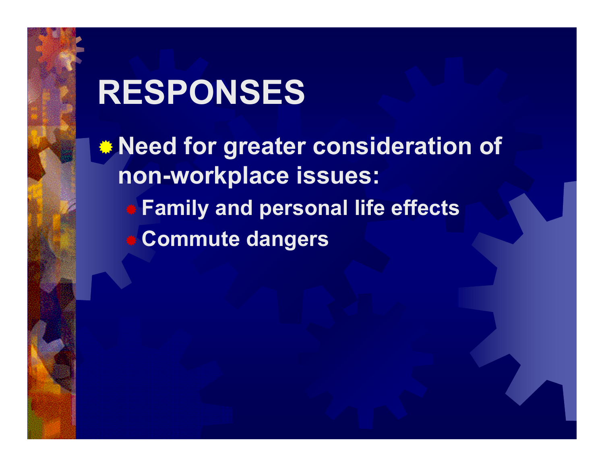## **RESPONSES**

**Need for greater consideration of non-workplace issues: Family and personal life effects Commute dangers**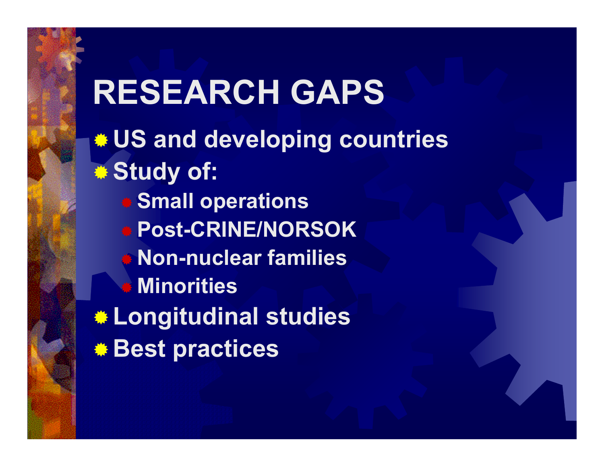**RESEARCH GAPS US and developing countries Study of: Small operations Post-CRINE/NORSOK Non-nuclear families** 券 **Minorities Longitudinal studies Best practices**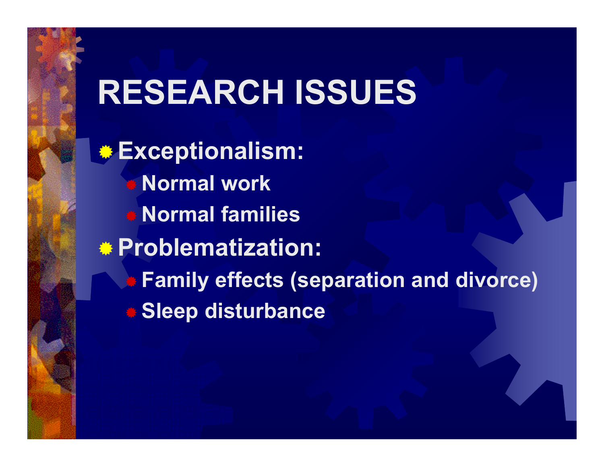#### **RESEARCH ISSUES**

**Exceptionalism: Normal work Normal families Problematization: Family effects (separation and divorce) Sleep disturbance**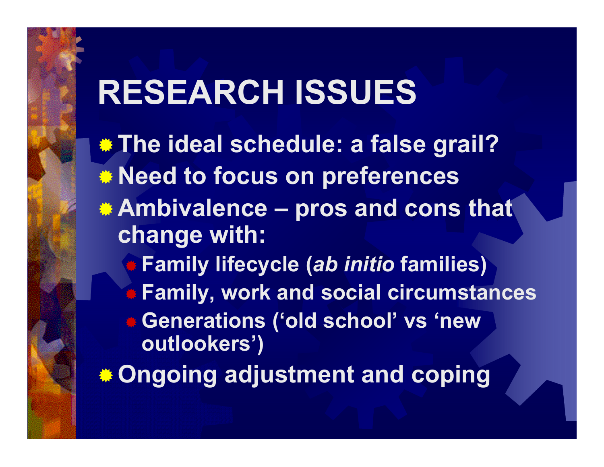## **RESEARCH ISSUES**

**The ideal schedule: a false grail? Need to focus on preferences Ambivalence – pros and cons that change with: Family lifecycle (***ab initio* **families) Family, work and social circumstances Generations ('old school' vs 'new outlookers') Ongoing adjustment and coping**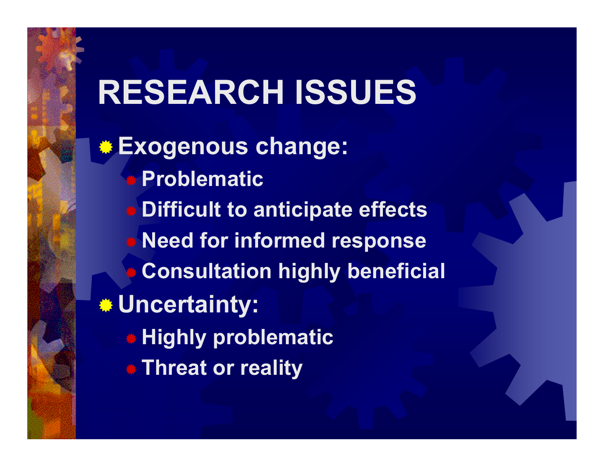## **RESEARCH ISSUES**

**Exogenous change: Problematic Difficult to anticipate effects Need for informed response** ₩ **Consultation highly beneficial Uncertainty: Highly problematic Threat or reality**